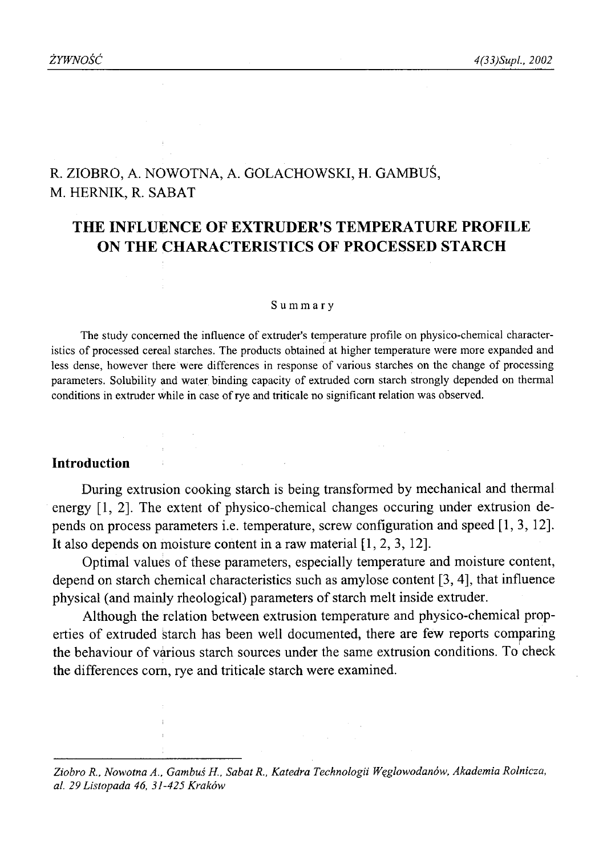# R. ZIOBRO, A. NOWOTNA, A. GOLACHOWSKI, H. GAMBUŚ, M. HERNIK, R. SABAT

# **THE INFLUENCE OF EXTRUDER'S TEMPERATURE PROFILE ON THE CHARACTERISTICS OF PROCESSED STARCH**

#### Summary

The study concerned the influence of extruder's temperature profile on physico-chemical characteristics of processed cereal starches. The products obtained at higher temperature were more expanded and less dense, however there were differences in response of various starches on the change of processing parameters. Solubility and water, binding capacity of extruded com starch strongly depended on thermal conditions in extruder while in case of rye and triticale no significant relation was observed.

# **Introduction**

During extrusion cooking starch is being transformed by mechanical and thermal energy [1, 2]. The extent of physico-chemical changes occuring under extrusion depends on process parameters i.e. temperature, screw configuration and speed [1,3, 12]. It also depends on moisture content in a raw material [1, 2, 3, 12].

Optimal values of these parameters, especially temperature and moisture content, depend on starch chemical characteristics such as amylose content [3, 4], that influence physical (and mainly rheological) parameters of starch melt inside extruder.

Although the relation between extrusion temperature and physico-chemical properties of extruded starch has been well documented, there are few reports comparing the behaviour of various starch sources under the same extrusion conditions. To check the differences com, rye and triticale starch were examined.

*Ziobro R., Nowotna A., Gambuś H., Sabat R., Katedra Technologii Węglowodanów, Akademia Rolnicza, al. 29 Listopada 46, 31-425 Kraków*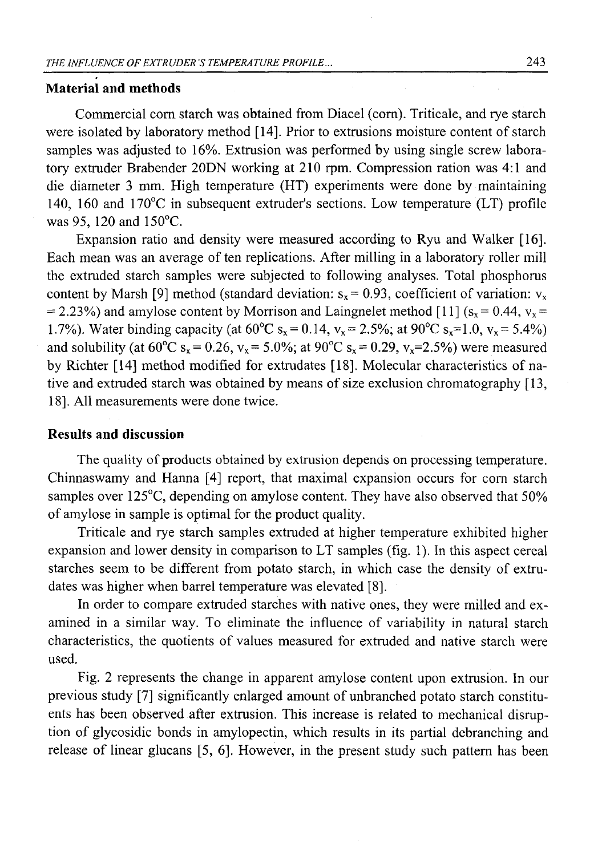### **Material and methods**

Commercial com starch was obtained from Diacel (com). Triticale, and rye starch were isolated by laboratory method [14]. Prior to extrusions moisture content of starch samples was adjusted to 16%. Extrusion was performed by using single screw laboratory extmder Brabender 20DN working at 210 rpm. Compression ration was 4:1 and die diameter 3 mm. High temperature (HT) experiments were done by maintaining 140, 160 and 170°C in subsequent extmder's sections. Low temperature (LT) profile was 95, 120 and 150°C.

Expansion ratio and density were measured according to Ryu and Walker [16]. Each mean was an average of ten replications. After milling in a laboratory roller mill the extmded starch samples were subjected to following analyses. Total phosphorus content by Marsh [9] method (standard deviation:  $s_x = 0.93$ , coefficient of variation:  $v_x$  $= 2.23\%$ ) and amylose content by Morrison and Laingnelet method [11] (s<sub>x</sub> = 0.44, v<sub>x</sub> = 1.7%). Water binding capacity (at  $60^{\circ}C$  s<sub>x</sub> = 0.14, v<sub>x</sub> = 2.5%; at 90°C s<sub>x</sub> = 1.0, v<sub>x</sub> = 5.4%) and solubility (at  $60^{\circ}$ C s<sub>x</sub> = 0.26, v<sub>x</sub> = 5.0%; at 90°C s<sub>x</sub> = 0.29, v<sub>x</sub>=2.5%) were measured by Richter [14] method modified for extradates [18]. Molecular characteristics of native and extmded starch was obtained by means of size exclusion chromatography [13, 18]. All measurements were done twice.

## **Results and discussion**

The quality of products obtained by extrusion depends on processing temperature. Chinnaswamy and Hanna [4] report, that maximal expansion occurs for com starch samples over 125°C, depending on amylose content. They have also observed that 50% of amylose in sample is optimal for the product quality.

Triticale and rye starch samples extmded at higher temperature exhibited higher expansion and lower density in comparison to LT samples (fig. 1). In this aspect cereal starches seem to be different from potato starch, in which case the density of extrudates was higher when barrel temperature was elevated [8].

In order to compare extmded starches with native ones, they were milled and examined in a similar way. To eliminate the influence of variability in natural starch characteristics, the quotients of values measured for extmded and native starch were used.

Fig. 2 represents the change in apparent amylose content upon extmsion. In our previous study [7] significantly enlarged amount of unbranched potato starch constituents has been observed after extmsion. This increase is related to mechanical disruption of glycosidic bonds in amylopectin, which results in its partial debranching and release of linear glucans [5, 6], However, in the present study such pattern has been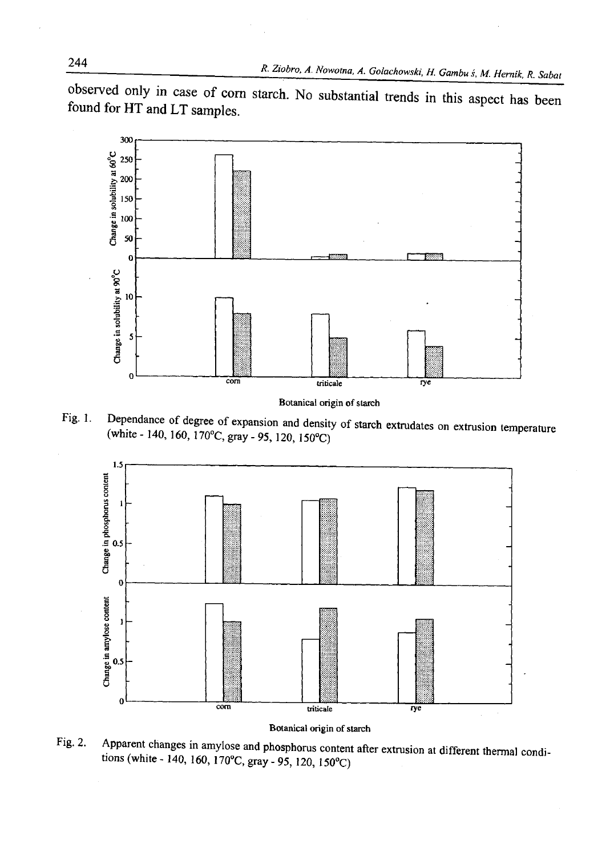observed only in case of com starch. No substantial trends in this aspect has been found for HT and LT samples.



**Botanical origin of starch** 

Fig. 1. Dependance of degree of expansion and density of starch extrudates on extrusion temperature (white - 140, 160, 170°C, gray - 95, 120, 150°C)



**Botanical origin of starch**

Fig. 2. Apparent changes in amylose and phosphorus content after extrusion at different thermal conditions (white - 140, 160, 170°C, gray - 95,120, 150°C)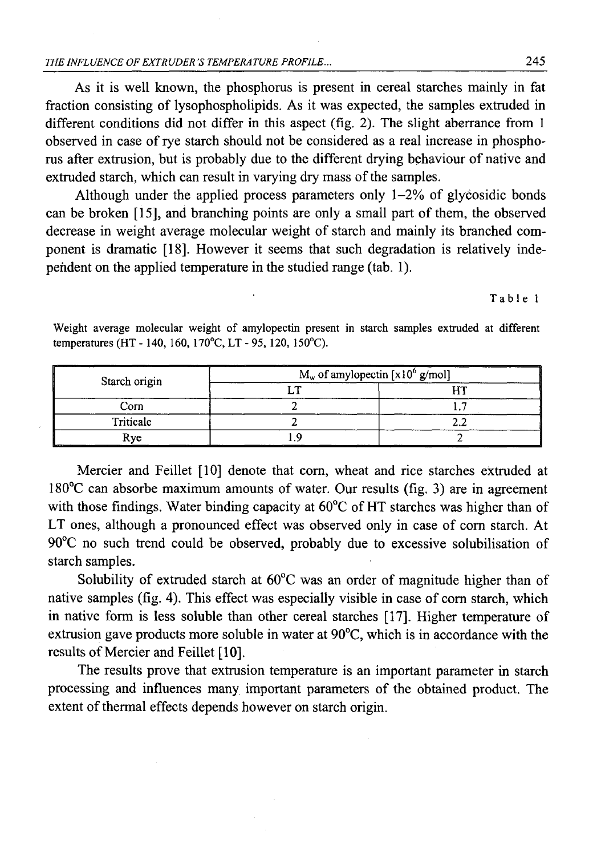As it is well known, the phosphorus is present in cereal starches mainly in fat fraction consisting of lysophospholipids. As it was expected, the samples extruded in different conditions did not differ in this aspect (fig. 2). The slight aberrance from 1 observed in case of rye starch should not be considered as a real increase in phosphorus after extrusion, but is probably due to the different drying behaviour of native and extruded starch, which can result in varying dry mass of the samples.

Although under the applied process parameters only  $1-2\%$  of glycosidic bonds can be broken [15], and branching points are only a small part of them, the observed decrease in weight average molecular weight of starch and mainly its branched component is dramatic [18]. However it seems that such degradation is relatively independent on the applied temperature in the studied range (tab. 1).

Table 1

| Starch origin | $M_w$ of amylopectin [x10 <sup>6</sup> g/mol] |     |
|---------------|-----------------------------------------------|-----|
|               |                                               |     |
| Corn          |                                               |     |
| Triticale     |                                               |     |
| Rve<br>__     | ______                                        | ___ |

Weight average molecular weight of amylopectin present in starch samples extruded at different temperatures (HT - 140, 160, 170°C, LT - 95, 120, 150°C).

Mercier and Feillet [10] denote **that** com, wheat and rice starches extruded at 180°C can absorbe maximum amounts of water. Our results (fig. 3) are in agreement with those findings. Water binding capacity at 60°C of HT starches was higher than of LT ones, although a pronounced effect was observed only in case of com starch. At 90°C no such trend could be observed, probably due to excessive solubilisation of starch samples.

Solubility of extruded starch at 60°C was an order of magnitude higher than of native samples (fig. 4). This effect was especially visible in case of com starch, which in native form is less soluble than other cereal starches [17]. Higher temperature of extrusion gave products more soluble in water at 90°C, which is in accordance with the results of Mercier and Feillet [10].

The results prove that extrusion temperature is an important parameter in starch processing and influences many important parameters of the obtained product. The extent of thermal effects depends however on starch origin.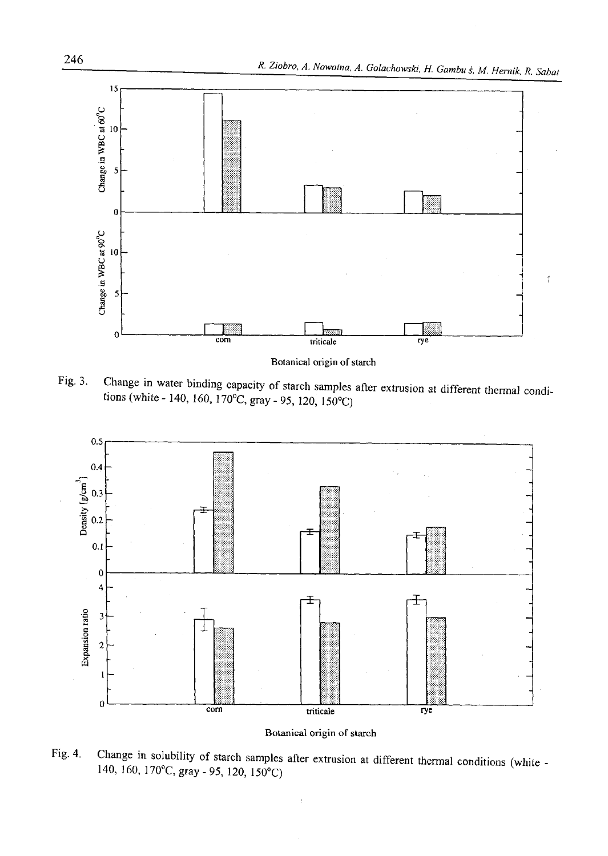

Fig. 3. Change in water binding capacity of starch samples after extrusion at different thermal condi-

tions (white - 140, 160, 170°C, gray - 95, 120, 150°C)



**Botanical origin of starch** 

Fig. 4. Change in solubility of starch samples after extrusion at different thermal conditions (white - 140, 160, 170°C, gray-95, 120, 150°C)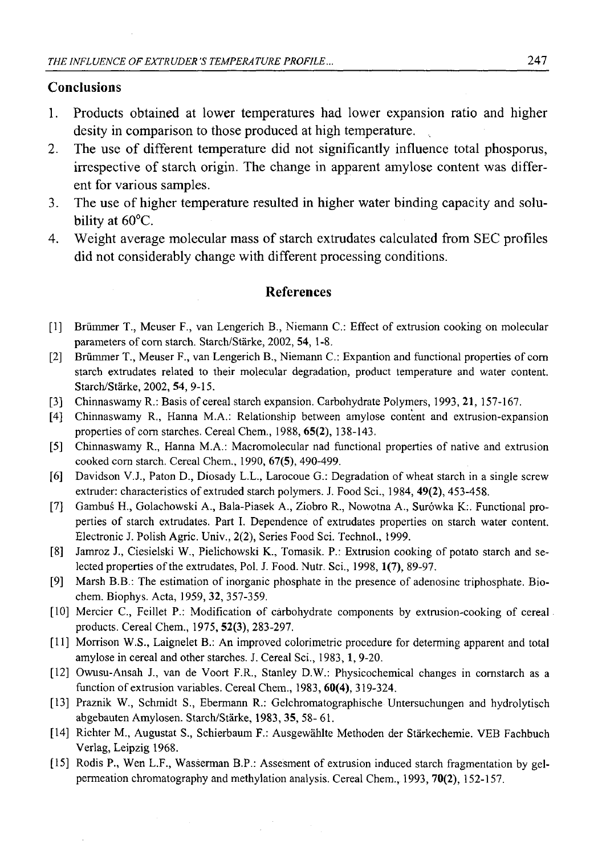# **Conclusions**

- 1. Products obtained at lower temperatures had lower expansion ratio and higher desity in comparison to those produced at high temperature.
- 2. The use of different temperature did not significantly influence total phosporus, irrespective of starch origin. The change in apparent amylose content was different for various samples.
- 3. The use of higher temperature resulted in higher water binding capacity and solubility at 60°C.
- 4. Weight average molecular mass of starch extrudates calculated from SEC profiles did not considerably change with different processing conditions.

### **References**

- [1] Briimmer T., Meuser F., van Lengerich B., Niemann C.: Effect of extrusion cooking on molecular parameters of corn starch. Starch/Stärke, 2002, 54, 1-8.
- [2] Briimmer T., Meuser F., van Lengerich B., Niemann C.: Expantion and functional properties of com starch extrudates related to their molecular degradation, product temperature and water content. Starch/Starke, 2002, 54, 9-15.
- [3] Chinnaswamy R.: Basis of cereal starch expansion. Carbohydrate Polymers, 1993, 21, 157-167.
- [4] Chinnaswamy R., Hanna M.A.: Relationship between amylose content and extrusion-expansion properties of com starches. Cereal Chem., 1988, 65(2), 138-143.
- [5] Chinnaswamy R., Hanna M.A.: Macromolecular nad functional properties of native and extrusion cooked com starch. Cereal Chem., 1990, 67(5), 490-499.
- [6] Davidson V.J., Paton D., Diosady L.L., Larocoue G.: Degradation of wheat starch in a single screw extruder: characteristics of extruded starch polymers. J. Food Sci., 1984, **49(2),** 453-458.
- [7] Gambuś H., Golachowski A., Bala-Piasek A., Ziobro R., Nowotna A., Surówka K:. Functional properties of starch extrudates. Part I. Dependence of extrudates properties on starch water content. Electronic J. Polish Agric. Univ., 2(2), Series Food Sci. Technol., 1999.
- [8] Jamroz J., Ciesielski W., Pielichowski K., Tomasik. P.: Extrusion cooking of potato starch and selected properties of the extrudates, Pol. J. Food. Nutr. Sci., 1998, **1(7),** 89-97.
- [9] Marsh B.B.: The estimation of inorganic phosphate in the presence of adenosine triphosphate. Biochem. Biophys. Acta, 1959, **32,** 357-359.
- [10] Mercier C., Feillet P.: Modification of carbohydrate components by extrusion-cooking of cereal products. Cereal Chem., 1975, **52(3),** 283-297.
- [11] Morrison W.S., Laignelet B.: An improved colorimetric procedure for determing apparent and total amylose in cereal and other starches. J. Cereal Sci., 1983,1, 9-20.
- [12] Owusu-Ansah J., van de Voort F.R., Stanley D.W.: Physicochemical changes in cornstarch as a function of extrusion variables. Cereal Chem., 1983, **60(4),** 319-324.
- [13] Praznik W., Schmidt S., Ebermann R.: Gelchromatographische Untersuchungen and hydrolytisch abgebauten Amylosen. Starch/Starke, 1983,**35,** 58- 61.
- [14] Richter M., Augustat S., Schierbaum F.: Ausgewahlte Methoden der Starkechemie. VEB Fachbuch Verlag, Leipzig 1968.
- [15] Rodis P., Wen L.F., Wasśerman B.P.: Assesment of extrusion induced starch fragmentation by gelpermeation chromatography and methylation analysis. Cereal Chem., 1993, **70(2),** 152-157.